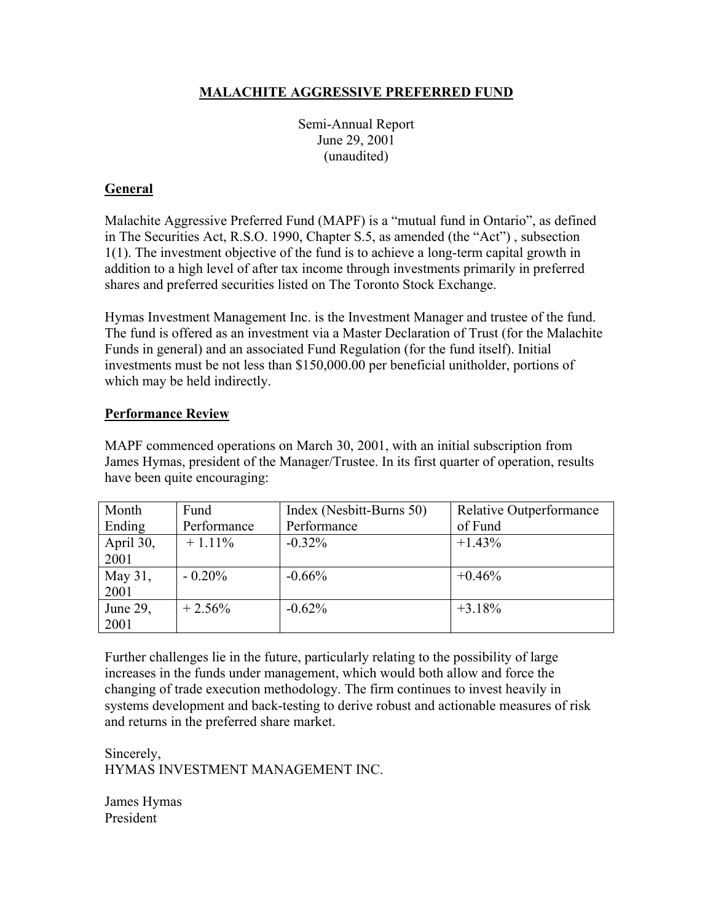## **MALACHITE AGGRESSIVE PREFERRED FUND**

Semi-Annual Report June 29, 2001 (unaudited)

## **General**

Malachite Aggressive Preferred Fund (MAPF) is a "mutual fund in Ontario", as defined in The Securities Act, R.S.O. 1990, Chapter S.5, as amended (the "Act") , subsection 1(1). The investment objective of the fund is to achieve a long-term capital growth in addition to a high level of after tax income through investments primarily in preferred shares and preferred securities listed on The Toronto Stock Exchange.

Hymas Investment Management Inc. is the Investment Manager and trustee of the fund. The fund is offered as an investment via a Master Declaration of Trust (for the Malachite Funds in general) and an associated Fund Regulation (for the fund itself). Initial investments must be not less than \$150,000.00 per beneficial unitholder, portions of which may be held indirectly.

#### **Performance Review**

MAPF commenced operations on March 30, 2001, with an initial subscription from James Hymas, president of the Manager/Trustee. In its first quarter of operation, results have been quite encouraging:

| Month     | Fund        | Index (Nesbitt-Burns 50) | <b>Relative Outperformance</b> |
|-----------|-------------|--------------------------|--------------------------------|
| Ending    | Performance | Performance              | of Fund                        |
| April 30, | $+1.11\%$   | $-0.32\%$                | $+1.43\%$                      |
| 2001      |             |                          |                                |
| May 31,   | $-0.20\%$   | $-0.66%$                 | $+0.46%$                       |
| 2001      |             |                          |                                |
| June 29,  | $+2.56%$    | $-0.62%$                 | $+3.18\%$                      |
| 2001      |             |                          |                                |

Further challenges lie in the future, particularly relating to the possibility of large increases in the funds under management, which would both allow and force the changing of trade execution methodology. The firm continues to invest heavily in systems development and back-testing to derive robust and actionable measures of risk and returns in the preferred share market.

Sincerely, HYMAS INVESTMENT MANAGEMENT INC.

James Hymas President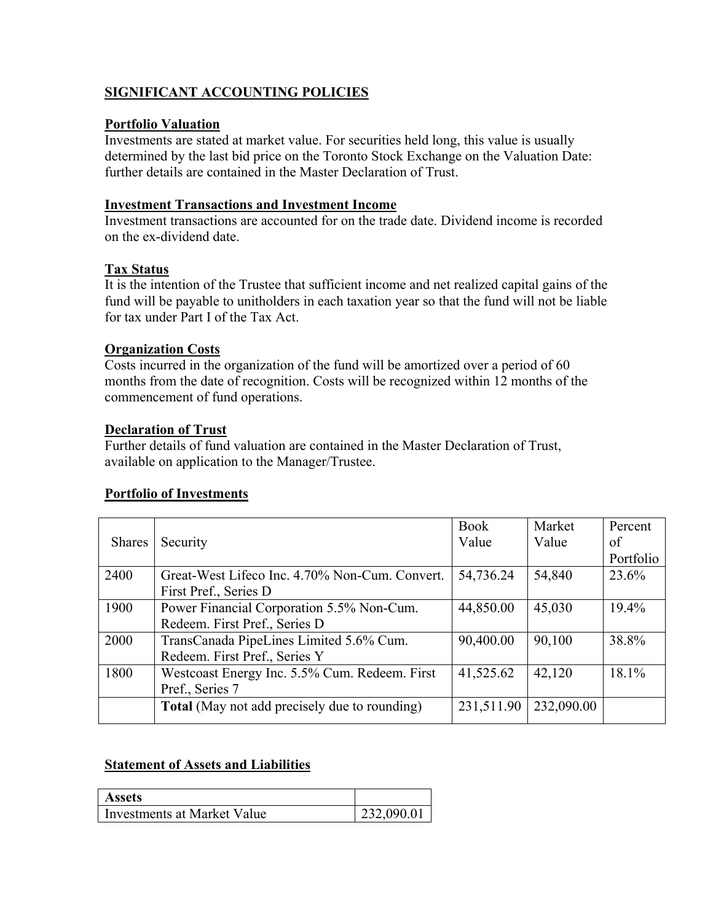## **SIGNIFICANT ACCOUNTING POLICIES**

#### **Portfolio Valuation**

Investments are stated at market value. For securities held long, this value is usually determined by the last bid price on the Toronto Stock Exchange on the Valuation Date: further details are contained in the Master Declaration of Trust.

#### **Investment Transactions and Investment Income**

Investment transactions are accounted for on the trade date. Dividend income is recorded on the ex-dividend date.

#### **Tax Status**

It is the intention of the Trustee that sufficient income and net realized capital gains of the fund will be payable to unitholders in each taxation year so that the fund will not be liable for tax under Part I of the Tax Act.

#### **Organization Costs**

Costs incurred in the organization of the fund will be amortized over a period of 60 months from the date of recognition. Costs will be recognized within 12 months of the commencement of fund operations.

#### **Declaration of Trust**

Further details of fund valuation are contained in the Master Declaration of Trust, available on application to the Manager/Trustee.

## **Portfolio of Investments**

|               |                                                      | <b>Book</b> | Market     | Percent   |
|---------------|------------------------------------------------------|-------------|------------|-----------|
| <b>Shares</b> | Security                                             | Value       | Value      | of        |
|               |                                                      |             |            | Portfolio |
| 2400          | Great-West Lifeco Inc. 4.70% Non-Cum. Convert.       | 54,736.24   | 54,840     | 23.6%     |
|               | First Pref., Series D                                |             |            |           |
| 1900          | Power Financial Corporation 5.5% Non-Cum.            | 44,850.00   | 45,030     | $19.4\%$  |
|               | Redeem. First Pref., Series D                        |             |            |           |
| 2000          | TransCanada PipeLines Limited 5.6% Cum.              | 90,400.00   | 90,100     | 38.8%     |
|               | Redeem. First Pref., Series Y                        |             |            |           |
| 1800          | Westcoast Energy Inc. 5.5% Cum. Redeem. First        | 41,525.62   | 42,120     | 18.1%     |
|               | Pref., Series 7                                      |             |            |           |
|               | <b>Total</b> (May not add precisely due to rounding) | 231,511.90  | 232,090.00 |           |
|               |                                                      |             |            |           |

## **Statement of Assets and Liabilities**

| <b>Assets</b>               |            |
|-----------------------------|------------|
| Investments at Market Value | 232,090.01 |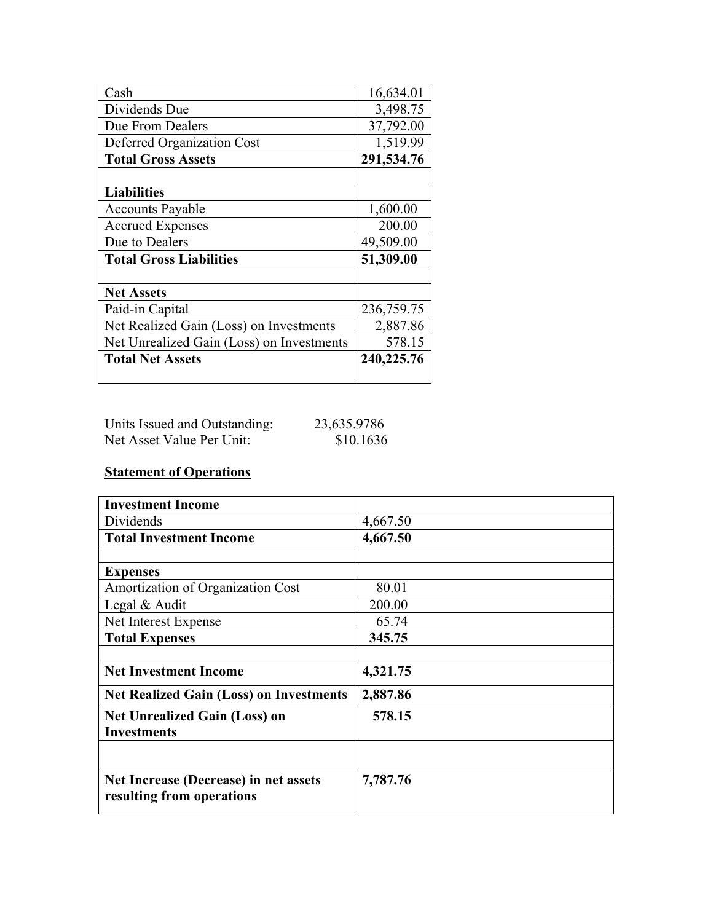| Cash                                      | 16,634.01  |
|-------------------------------------------|------------|
| Dividends Due                             | 3,498.75   |
| Due From Dealers                          | 37,792.00  |
| Deferred Organization Cost                | 1,519.99   |
| <b>Total Gross Assets</b>                 | 291,534.76 |
|                                           |            |
| <b>Liabilities</b>                        |            |
| <b>Accounts Payable</b>                   | 1,600.00   |
| <b>Accrued Expenses</b>                   | 200.00     |
| Due to Dealers                            | 49,509.00  |
| <b>Total Gross Liabilities</b>            | 51,309.00  |
|                                           |            |
| <b>Net Assets</b>                         |            |
| Paid-in Capital                           | 236,759.75 |
| Net Realized Gain (Loss) on Investments   | 2,887.86   |
| Net Unrealized Gain (Loss) on Investments | 578.15     |
| <b>Total Net Assets</b>                   | 240,225.76 |

| Units Issued and Outstanding: | 23,635.9786 |
|-------------------------------|-------------|
| Net Asset Value Per Unit:     | \$10.1636   |

# **Statement of Operations**

| <b>Investment Income</b>                                           |          |
|--------------------------------------------------------------------|----------|
| Dividends                                                          | 4,667.50 |
| <b>Total Investment Income</b>                                     | 4,667.50 |
|                                                                    |          |
| <b>Expenses</b>                                                    |          |
| Amortization of Organization Cost                                  | 80.01    |
| Legal & Audit                                                      | 200.00   |
| Net Interest Expense                                               | 65.74    |
| <b>Total Expenses</b>                                              | 345.75   |
|                                                                    |          |
| <b>Net Investment Income</b>                                       | 4,321.75 |
| <b>Net Realized Gain (Loss) on Investments</b>                     | 2,887.86 |
| <b>Net Unrealized Gain (Loss) on</b><br><b>Investments</b>         | 578.15   |
|                                                                    |          |
| Net Increase (Decrease) in net assets<br>resulting from operations | 7,787.76 |